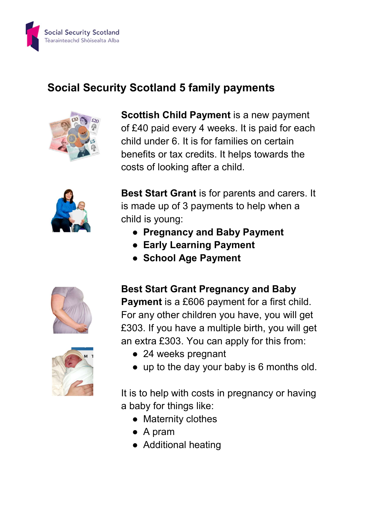

## Social Security Scotland 5 family payments



Scottish Child Payment is a new payment of £40 paid every 4 weeks. It is paid for each child under 6. It is for families on certain benefits or tax credits. It helps towards the costs of looking after a child.



Best Start Grant is for parents and carers. It is made up of 3 payments to help when a child is young:

- Pregnancy and Baby Payment
- Early Learning Payment
- School Age Payment





Best Start Grant Pregnancy and Baby

Payment is a £606 payment for a first child. For any other children you have, you will get £303. If you have a multiple birth, you will get an extra £303. You can apply for this from:

- 24 weeks pregnant
- up to the day your baby is 6 months old.

It is to help with costs in pregnancy or having a baby for things like:

- Maternity clothes
- A pram
- Additional heating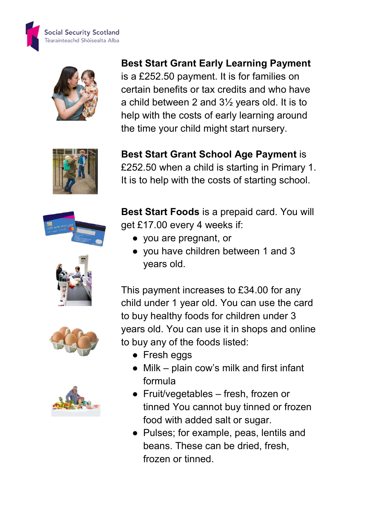



## Best Start Grant Early Learning Payment is a £252.50 payment. It is for families on certain benefits or tax credits and who have a child between 2 and 3½ years old. It is to help with the costs of early learning around

the time your child might start nursery.



Best Start Grant School Age Payment is £252.50 when a child is starting in Primary 1. It is to help with the costs of starting school.









Best Start Foods is a prepaid card. You will get £17.00 every 4 weeks if:

- you are pregnant, or
- you have children between 1 and 3 years old.

This payment increases to £34.00 for any child under 1 year old. You can use the card to buy healthy foods for children under 3 years old. You can use it in shops and online to buy any of the foods listed:

- Fresh eggs
- Milk plain cow's milk and first infant formula
- Fruit/vegetables fresh, frozen or tinned You cannot buy tinned or frozen food with added salt or sugar.
- Pulses; for example, peas, lentils and beans. These can be dried, fresh, frozen or tinned.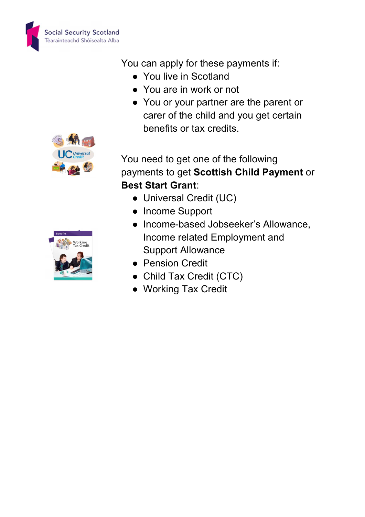

You can apply for these payments if:

- You live in Scotland
- You are in work or not
- You or your partner are the parent or carer of the child and you get certain benefits or tax credits.



You need to get one of the following payments to get Scottish Child Payment or Best Start Grant:

- Universal Credit (UC)
- Income Support
- Income-based Jobseeker's Allowance, Income related Employment and Support Allowance
- Pension Credit
- Child Tax Credit (CTC)
- Working Tax Credit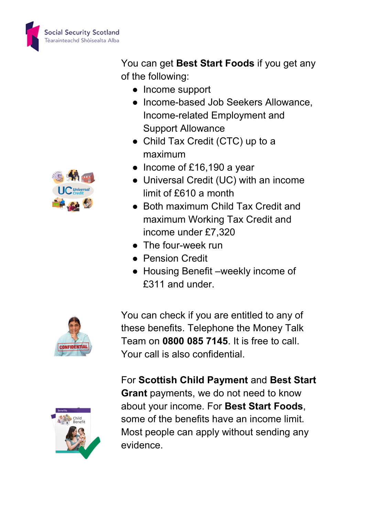

You can get Best Start Foods if you get any of the following:

- Income support
- Income-based Job Seekers Allowance, Income-related Employment and Support Allowance
- Child Tax Credit (CTC) up to a maximum
- Income of £16,190 a year
- Universal Credit (UC) with an income limit of £610 a month
- Both maximum Child Tax Credit and maximum Working Tax Credit and income under £7,320
- The four-week run
- Pension Credit
- Housing Benefit –weekly income of £311 and under.



You can check if you are entitled to any of these benefits. Telephone the Money Talk Team on 0800 085 7145. It is free to call. Your call is also confidential.

For Scottish Child Payment and Best Start Grant payments, we do not need to know about your income. For Best Start Foods, some of the benefits have an income limit. Most people can apply without sending any evidence.



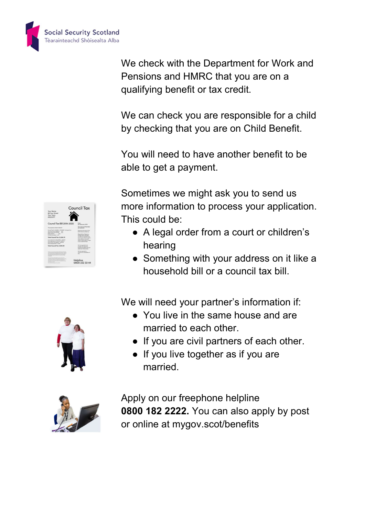

We check with the Department for Work and Pensions and HMRC that you are on a qualifying benefit or tax credit.

We can check you are responsible for a child by checking that you are on Child Benefit.

You will need to have another benefit to be able to get a payment.

Sometimes we might ask you to send us more information to process your application. This could be:

- A legal order from a court or children's hearing
- Something with your address on it like a household bill or a council tax bill.

We will need your partner's information if:

- You live in the same house and are married to each other.
- If you are civil partners of each other.
- If you live together as if you are married.



 Apply on our freephone helpline 0800 182 2222. You can also apply by post or online at mygov.scot/benefits